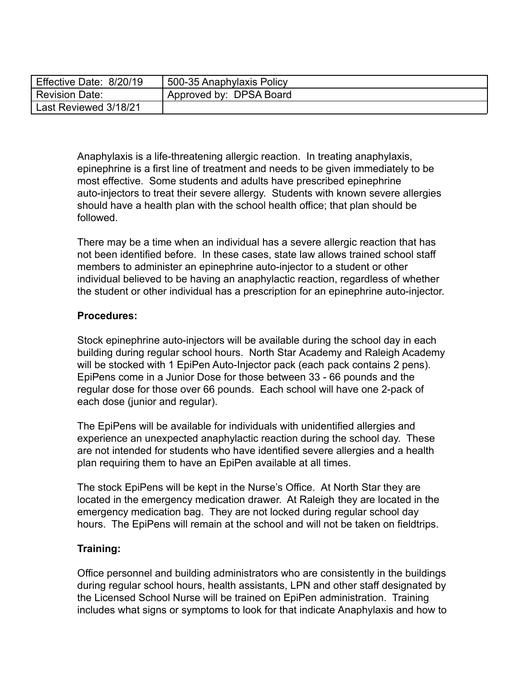| Effective Date: 8/20/19 | <sub>1</sub> 500-35 Anaphylaxis Policy |
|-------------------------|----------------------------------------|
| Revision Date:          | Approved by: DPSA Board                |
| Last Reviewed 3/18/21   |                                        |

Anaphylaxis is a life-threatening allergic reaction. In treating anaphylaxis, epinephrine is a first line of treatment and needs to be given immediately to be most effective. Some students and adults have prescribed epinephrine auto-injectors to treat their severe allergy. Students with known severe allergies should have a health plan with the school health office; that plan should be followed.

There may be a time when an individual has a severe allergic reaction that has not been identified before. In these cases, state law allows trained school staff members to administer an epinephrine auto-injector to a student or other individual believed to be having an anaphylactic reaction, regardless of whether the student or other individual has a prescription for an epinephrine auto-injector.

## **Procedures:**

Stock epinephrine auto-injectors will be available during the school day in each building during regular school hours. North Star Academy and Raleigh Academy will be stocked with 1 EpiPen Auto-Injector pack (each pack contains 2 pens). EpiPens come in a Junior Dose for those between 33 - 66 pounds and the regular dose for those over 66 pounds. Each school will have one 2-pack of each dose (junior and regular).

The EpiPens will be available for individuals with unidentified allergies and experience an unexpected anaphylactic reaction during the school day. These are not intended for students who have identified severe allergies and a health plan requiring them to have an EpiPen available at all times.

The stock EpiPens will be kept in the Nurse's Office. At North Star they are located in the emergency medication drawer. At Raleigh they are located in the emergency medication bag. They are not locked during regular school day hours. The EpiPens will remain at the school and will not be taken on fieldtrips.

## **Training:**

Office personnel and building administrators who are consistently in the buildings during regular school hours, health assistants, LPN and other staff designated by the Licensed School Nurse will be trained on EpiPen administration. Training includes what signs or symptoms to look for that indicate Anaphylaxis and how to